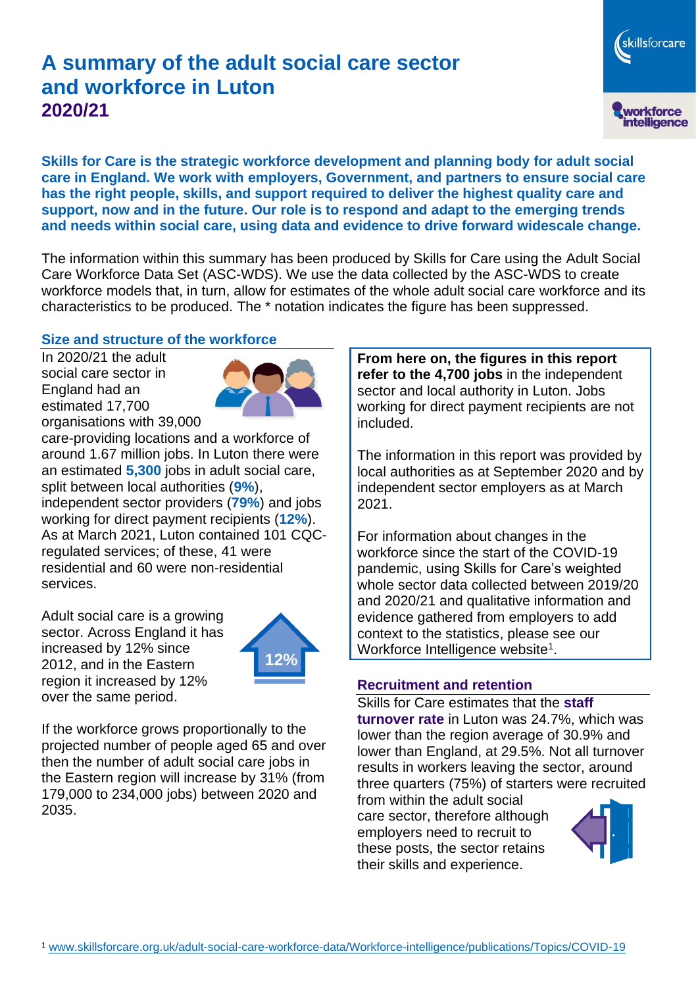# **A summary of the adult social care sector and workforce in Luton 2020/21**

skillsforcare workforce<br>intelligence

**Skills for Care is the strategic workforce development and planning body for adult social care in England. We work with employers, Government, and partners to ensure social care has the right people, skills, and support required to deliver the highest quality care and support, now and in the future. Our role is to respond and adapt to the emerging trends and needs within social care, using data and evidence to drive forward widescale change.**

The information within this summary has been produced by Skills for Care using the Adult Social Care Workforce Data Set (ASC-WDS). We use the data collected by the ASC-WDS to create workforce models that, in turn, allow for estimates of the whole adult social care workforce and its characteristics to be produced. The \* notation indicates the figure has been suppressed.

#### **Size and structure of the workforce**

In 2020/21 the adult social care sector in England had an estimated 17,700 organisations with 39,000



care-providing locations and a workforce of around 1.67 million jobs. In Luton there were an estimated **5,300** jobs in adult social care, split between local authorities (**9%**), independent sector providers (**79%**) and jobs working for direct payment recipients (**12%**). As at March 2021, Luton contained 101 CQCregulated services; of these, 41 were residential and 60 were non-residential services.

Adult social care is a growing sector. Across England it has increased by 12% since 2012, and in the Eastern region it increased by 12% over the same period.



If the workforce grows proportionally to the projected number of people aged 65 and over then the number of adult social care jobs in the Eastern region will increase by 31% (from 179,000 to 234,000 jobs) between 2020 and 2035.

**From here on, the figures in this report refer to the 4,700 jobs** in the independent sector and local authority in Luton. Jobs working for direct payment recipients are not included.

The information in this report was provided by local authorities as at September 2020 and by independent sector employers as at March 2021.

For information about changes in the workforce since the start of the COVID-19 pandemic, using Skills for Care's weighted whole sector data collected between 2019/20 and 2020/21 and qualitative information and evidence gathered from employers to add context to the statistics, please see our Workforce Intelligence website<sup>1</sup>.

#### **Recruitment and retention**

Skills for Care estimates that the **staff turnover rate** in Luton was 24.7%, which was lower than the region average of 30.9% and lower than England, at 29.5%. Not all turnover results in workers leaving the sector, around three quarters (75%) of starters were recruited

from within the adult social care sector, therefore although employers need to recruit to these posts, the sector retains their skills and experience.

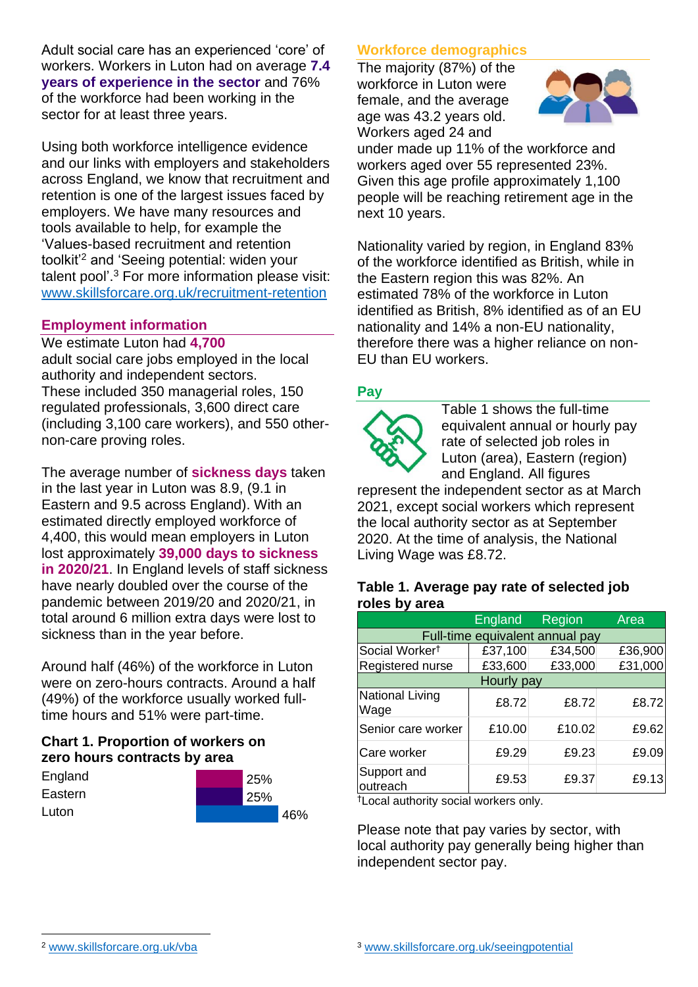Adult social care has an experienced 'core' of workers. Workers in Luton had on average **7.4 years of experience in the sector** and 76% of the workforce had been working in the sector for at least three years.

Using both workforce intelligence evidence and our links with employers and stakeholders across England, we know that recruitment and retention is one of the largest issues faced by employers. We have many resources and tools available to help, for example the 'Values-based recruitment and retention toolkit'<sup>2</sup> and 'Seeing potential: widen your talent pool'. <sup>3</sup> For more information please visit: [www.skillsforcare.org.uk/recruitment-retention](http://www.skillsforcare.org.uk/recruitment-retention)

#### **Employment information**

We estimate Luton had **4,700** adult social care jobs employed in the local authority and independent sectors. These included 350 managerial roles, 150 regulated professionals, 3,600 direct care (including 3,100 care workers), and 550 othernon-care proving roles.

The average number of **sickness days** taken in the last year in Luton was 8.9, (9.1 in Eastern and 9.5 across England). With an estimated directly employed workforce of 4,400, this would mean employers in Luton lost approximately **39,000 days to sickness in 2020/21**. In England levels of staff sickness have nearly doubled over the course of the pandemic between 2019/20 and 2020/21, in total around 6 million extra days were lost to sickness than in the year before.

Around half (46%) of the workforce in Luton were on zero-hours contracts. Around a half (49%) of the workforce usually worked fulltime hours and 51% were part-time.

# **Chart 1. Proportion of workers on zero hours contracts by area**

| England | 25% |     |
|---------|-----|-----|
| Eastern | 25% |     |
| Luton   |     | 46% |

# **Workforce demographics**

The majority (87%) of the workforce in Luton were female, and the average age was 43.2 years old. Workers aged 24 and



under made up 11% of the workforce and workers aged over 55 represented 23%. Given this age profile approximately 1,100 people will be reaching retirement age in the next 10 years.

Nationality varied by region, in England 83% of the workforce identified as British, while in the Eastern region this was 82%. An estimated 78% of the workforce in Luton identified as British, 8% identified as of an EU nationality and 14% a non-EU nationality, therefore there was a higher reliance on non-EU than EU workers.

# **Pay**



Table 1 shows the full-time equivalent annual or hourly pay rate of selected job roles in Luton (area), Eastern (region) and England. All figures

represent the independent sector as at March 2021, except social workers which represent the local authority sector as at September 2020. At the time of analysis, the National Living Wage was £8.72.

#### **Table 1. Average pay rate of selected job roles by area**

|                                 | England | Region  | Area    |  |  |
|---------------------------------|---------|---------|---------|--|--|
| Full-time equivalent annual pay |         |         |         |  |  |
| Social Worker <sup>t</sup>      | £37,100 | £34,500 | £36,900 |  |  |
| Registered nurse                | £33,600 | £33,000 | £31,000 |  |  |
| Hourly pay                      |         |         |         |  |  |
| <b>National Living</b><br>Wage  | £8.72   | £8.72   | £8.72   |  |  |
| Senior care worker              | £10.00  | £10.02  | £9.62   |  |  |
| Care worker                     | £9.29   | £9.23   | £9.09   |  |  |
| Support and<br>outreach         | £9.53   | £9.37   | £9.13   |  |  |

†Local authority social workers only.

Please note that pay varies by sector, with local authority pay generally being higher than independent sector pay.